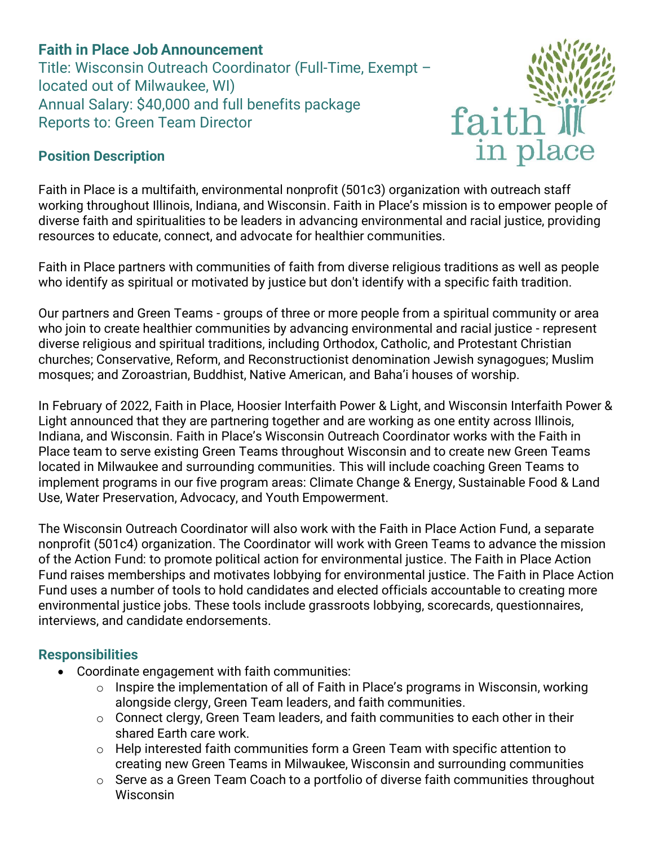# **Faith in Place Job Announcement**

Title: Wisconsin Outreach Coordinator (Full-Time, Exempt – located out of Milwaukee, WI) Annual Salary: \$40,000 and full benefits package Reports to: Green Team Director



### **Position Description**

Faith in Place is a multifaith, environmental nonprofit (501c3) organization with outreach staff working throughout Illinois, Indiana, and Wisconsin. Faith in Place's mission is to empower people of diverse faith and spiritualities to be leaders in advancing environmental and racial justice, providing resources to educate, connect, and advocate for healthier communities.

Faith in Place partners with communities of faith from diverse religious traditions as well as people who identify as spiritual or motivated by justice but don't identify with a specific faith tradition.

Our partners and Green Teams - groups of three or more people from a spiritual community or area who join to create healthier communities by advancing environmental and racial justice - represent diverse religious and spiritual traditions, including Orthodox, Catholic, and Protestant Christian churches; Conservative, Reform, and Reconstructionist denomination Jewish synagogues; Muslim mosques; and Zoroastrian, Buddhist, Native American, and Baha'i houses of worship.

In February of 2022, Faith in Place, Hoosier Interfaith Power & Light, and Wisconsin Interfaith Power & Light announced that they are partnering together and are working as one entity across Illinois, Indiana, and Wisconsin. Faith in Place's Wisconsin Outreach Coordinator works with the Faith in Place team to serve existing Green Teams throughout Wisconsin and to create new Green Teams located in Milwaukee and surrounding communities. This will include coaching Green Teams to implement programs in our five program areas: Climate Change & Energy, Sustainable Food & Land Use, Water Preservation, Advocacy, and Youth Empowerment.

The Wisconsin Outreach Coordinator will also work with the Faith in Place Action Fund, a separate nonprofit (501c4) organization. The Coordinator will work with Green Teams to advance the mission of the Action Fund: to promote political action for environmental justice. The Faith in Place Action Fund raises memberships and motivates lobbying for environmental justice. The Faith in Place Action Fund uses a number of tools to hold candidates and elected officials accountable to creating more environmental justice jobs. These tools include grassroots lobbying, scorecards, questionnaires, interviews, and candidate endorsements.

### **Responsibilities**

- Coordinate engagement with faith communities:
	- o Inspire the implementation of all of Faith in Place's programs in Wisconsin, working alongside clergy, Green Team leaders, and faith communities.
	- $\circ$  Connect clergy, Green Team leaders, and faith communities to each other in their shared Earth care work.
	- o Help interested faith communities form a Green Team with specific attention to creating new Green Teams in Milwaukee, Wisconsin and surrounding communities
	- o Serve as a Green Team Coach to a portfolio of diverse faith communities throughout Wisconsin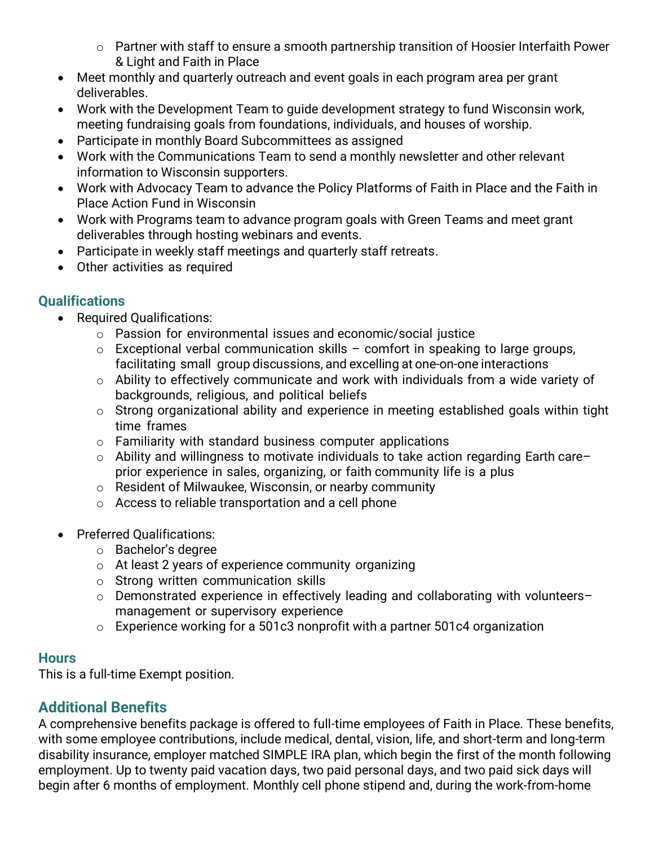- o Partner with staff to ensure a smooth partnership transition of Hoosier Interfaith Power & Light and Faith in Place
- Meet monthly and quarterly outreach and event goals in each program area per grant deliverables.
- Work with the Development Team to guide development strategy to fund Wisconsin work, meeting fundraising goals from foundations, individuals, and houses of worship.
- Participate in monthly Board Subcommittees as assigned
- Work with the Communications Team to send a monthly newsletter and other relevant information to Wisconsin supporters.
- Work with Advocacy Team to advance the Policy Platforms of Faith in Place and the Faith in Place Action Fund in Wisconsin
- Work with Programs team to advance program goals with Green Teams and meet grant deliverables through hosting webinars and events.
- Participate in weekly staff meetings and quarterly staff retreats.
- Other activities as required

## **Qualifications**

- Required Qualifications:
	- o Passion for environmental issues and economic/social justice
	- $\circ$  Exceptional verbal communication skills comfort in speaking to large groups, facilitating small group discussions, and excelling at one-on-one interactions
	- o Ability to effectively communicate and work with individuals from a wide variety of backgrounds, religious, and political beliefs
	- o Strong organizational ability and experience in meeting established goals within tight time frames
	- o Familiarity with standard business computer applications
	- o Ability and willingness to motivate individuals to take action regarding Earth care– prior experience in sales, organizing, or faith community life is a plus
	- o Resident of Milwaukee, Wisconsin, or nearby community
	- o Access to reliable transportation and a cell phone
- Preferred Qualifications:
	- o Bachelor's degree
	- o At least 2 years of experience community organizing
	- o Strong written communication skills
	- o Demonstrated experience in effectively leading and collaborating with volunteers– management or supervisory experience
	- o Experience working for a 501c3 nonprofit with a partner 501c4 organization

### **Hours**

This is a full-time Exempt position.

## **Additional Benefits**

A comprehensive benefits package is offered to full-time employees of Faith in Place. These benefits, with some employee contributions, include medical, dental, vision, life, and short-term and long-term disability insurance, employer matched SIMPLE IRA plan, which begin the first of the month following employment. Up to twenty paid vacation days, two paid personal days, and two paid sick days will begin after 6 months of employment. Monthly cell phone stipend and, during the work-from-home